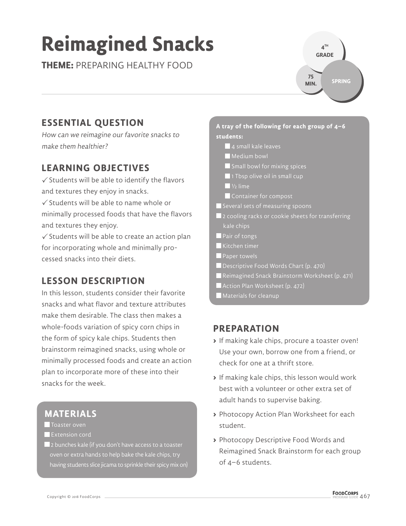# **Reimagined Snacks**

**THEME:** PREPARING HEALTHY FOOD

**4 TH GRADE SPRING 75 MIN.**

### **ESSENTIAL QUESTION**

How can we reimagine our favorite snacks to make them healthier?

#### **LEARNING OBJECTIVES**

 $\checkmark$  Students will be able to identify the flavors and textures they enjoy in snacks.

 $\checkmark$  Students will be able to name whole or minimally processed foods that have the flavors and textures they enjoy.

 $\checkmark$  Students will be able to create an action plan for incorporating whole and minimally processed snacks into their diets.

#### **LESSON DESCRIPTION**

In this lesson, students consider their favorite snacks and what flavor and texture attributes make them desirable. The class then makes a whole-foods variation of spicy corn chips in the form of spicy kale chips. Students then brainstorm reimagined snacks, using whole or minimally processed foods and create an action plan to incorporate more of these into their snacks for the week.

#### **MATERIALS**

- **T** Toaster oven
- **Extension cord**
- $\blacksquare$  2 bunches kale (if you don't have access to a toaster oven or extra hands to help bake the kale chips, try having students slice jicama to sprinkle their spicy mix on)

#### **A tray of the following for each group of 4–6 students:**

- 4 small kale leaves
- Medium bowl
- Small bowl for mixing spices
- $\blacksquare$  1 Tbsp olive oil in small cup
- $\blacksquare$   $V_2$  lime
- Container for compost
- $\blacksquare$  Several sets of measuring spoons
- $\blacksquare$  2 cooling racks or cookie sheets for transferring kale chips
- **Pair of tongs**
- Kitchen timer
- **Paper towels**
- Descriptive Food Words Chart (p. 470)
- Reimagined Snack Brainstorm Worksheet (p. 471)
- Action Plan Worksheet (p. 472)
- Materials for cleanup

#### **PREPARATION**

- **>** If making kale chips, procure a toaster oven! Use your own, borrow one from a friend, or check for one at a thrift store.
- **>** If making kale chips, this lesson would work best with a volunteer or other extra set of adult hands to supervise baking.
- **>** Photocopy Action Plan Worksheet for each student.
- **>** Photocopy Descriptive Food Words and Reimagined Snack Brainstorm for each group of 4–6 students.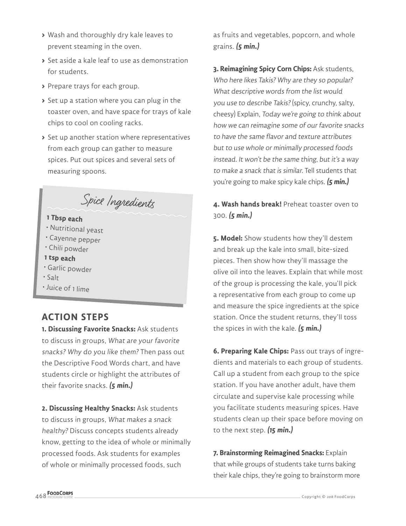- **>** Wash and thoroughly dry kale leaves to prevent steaming in the oven.
- **>** Set aside a kale leaf to use as demonstration for students.
- **>** Prepare trays for each group.
- **>** Set up a station where you can plug in the toaster oven, and have space for trays of kale chips to cool on cooling racks.
- **>** Set up another station where representatives from each group can gather to measure spices. Put out spices and several sets of measuring spoons.

### Spice Ingredients

#### **1 Tbsp each**

- Nutritional yeast
- Cayenne pepper
- Chili powder
- **1 tsp each**
- Garlic powder
- Salt
- Juice of 1 lime

#### **ACTION STEPS**

**1. Discussing Favorite Snacks:** Ask students to discuss in groups, What are your favorite snacks? Why do you like them? Then pass out the Descriptive Food Words chart, and have students circle or highlight the attributes of their favorite snacks. **(5 min.)**

**2. Discussing Healthy Snacks:** Ask students to discuss in groups, What makes a snack healthy? Discuss concepts students already know, getting to the idea of whole or minimally processed foods. Ask students for examples of whole or minimally processed foods, such

as fruits and vegetables, popcorn, and whole grains. **(5 min.)**

**3. Reimagining Spicy Corn Chips:** Ask students, Who here likes Takis? Why are they so popular? What descriptive words from the list would you use to describe Takis? (spicy, crunchy, salty, cheesy) Explain, Today we're going to think about how we can reimagine some of our favorite snacks to have the same flavor and texture attributes but to use whole or minimally processed foods instead. It won't be the same thing, but it's a way to make a snack that is similar. Tell students that you're going to make spicy kale chips. **(5 min.)**

**4. Wash hands break!** Preheat toaster oven to 300. **(5 min.)**

**5. Model:** Show students how they'll destem and break up the kale into small, bite-sized pieces. Then show how they'll massage the olive oil into the leaves. Explain that while most of the group is processing the kale, you'll pick a representative from each group to come up and measure the spice ingredients at the spice station. Once the student returns, they'll toss the spices in with the kale. **(5 min.)**

**6. Preparing Kale Chips:** Pass out trays of ingredients and materials to each group of students. Call up a student from each group to the spice station. If you have another adult, have them circulate and supervise kale processing while you facilitate students measuring spices. Have students clean up their space before moving on to the next step. **(15 min.)**

**7. Brainstorming Reimagined Snacks:** Explain that while groups of students take turns baking their kale chips, they're going to brainstorm more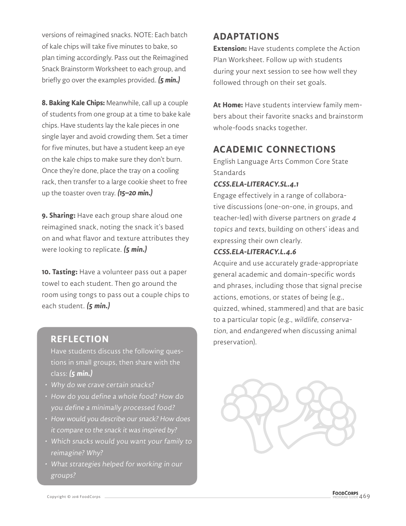versions of reimagined snacks. NOTE: Each batch of kale chips will take five minutes to bake, so plan timing accordingly. Pass out the Reimagined Snack Brainstorm Worksheet to each group, and briefly go over the examples provided. **(5 min.)**

**8. Baking Kale Chips:** Meanwhile, call up a couple of students from one group at a time to bake kale chips. Have students lay the kale pieces in one single layer and avoid crowding them. Set a timer for five minutes, but have a student keep an eye on the kale chips to make sure they don't burn. Once they're done, place the tray on a cooling rack, then transfer to a large cookie sheet to free up the toaster oven tray. **(15–20 min.)**

**9. Sharing:** Have each group share aloud one reimagined snack, noting the snack it's based on and what flavor and texture attributes they were looking to replicate. **(5 min.)**

**10. Tasting:** Have a volunteer pass out a paper towel to each student. Then go around the room using tongs to pass out a couple chips to each student. **(5 min.)**

#### **REFLECTION**

Have students discuss the following questions in small groups, then share with the class: **(5 min.)**

- Why do we crave certain snacks?
- How do you define a whole food? How do you define a minimally processed food?
- How would you describe our snack? How does it compare to the snack it was inspired by?
- Which snacks would you want your family to reimagine? Why?
- What strategies helped for working in our groups?

#### **ADAPTATIONS**

**Extension:** Have students complete the Action Plan Worksheet. Follow up with students during your next session to see how well they followed through on their set goals.

**At Home:** Have students interview family members about their favorite snacks and brainstorm whole-foods snacks together.

#### **ACADEMIC CONNECTIONS**

English Language Arts Common Core State **Standards** 

#### **CCSS.ELA-LITERACY.SL.4.1**

Engage effectively in a range of collaborative discussions (one-on-one, in groups, and teacher-led) with diverse partners on grade 4 topics and texts, building on others' ideas and expressing their own clearly.

#### **CCSS.ELA-LITERACY.L.4.6**

Acquire and use accurately grade-appropriate general academic and domain-specific words and phrases, including those that signal precise actions, emotions, or states of being (e.g., quizzed, whined, stammered) and that are basic to a particular topic (e.g., wildlife, conservation, and endangered when discussing animal preservation).

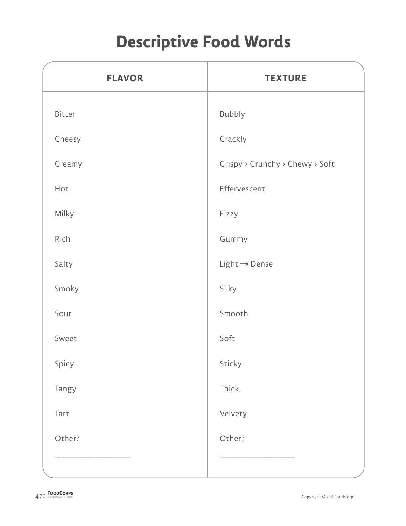## **Descriptive Food Words**

| <b>FLAVOR</b> | <b>TEXTURE</b>                  |  |
|---------------|---------------------------------|--|
| Bitter        | Bubbly                          |  |
| Cheesy        | Crackly                         |  |
| Creamy        | Crispy > Crunchy > Chewy > Soft |  |
| Hot           | Effervescent                    |  |
| Milky         | Fizzy                           |  |
| Rich          | Gummy                           |  |
| Salty         | $Light \rightarrow Dense$       |  |
| Smoky         | Silky                           |  |
| Sour          | Smooth                          |  |
| Sweet         | Soft                            |  |
| Spicy         | Sticky                          |  |
| Tangy         | Thick                           |  |
| Tart          | Velvety                         |  |
| Other?        | Other?                          |  |
|               |                                 |  |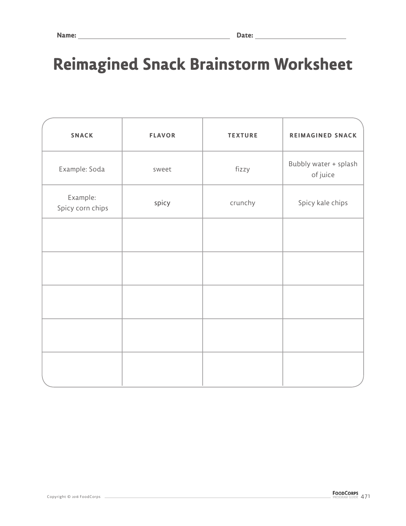### **Reimagined Snack Brainstorm Worksheet**

| <b>SNACK</b>                 | <b>FLAVOR</b> | <b>TEXTURE</b> | <b>REIMAGINED SNACK</b>           |
|------------------------------|---------------|----------------|-----------------------------------|
| Example: Soda                | sweet         | fizzy          | Bubbly water + splash<br>of juice |
| Example:<br>Spicy corn chips | spicy         | crunchy        | Spicy kale chips                  |
|                              |               |                |                                   |
|                              |               |                |                                   |
|                              |               |                |                                   |
|                              |               |                |                                   |
|                              |               |                |                                   |